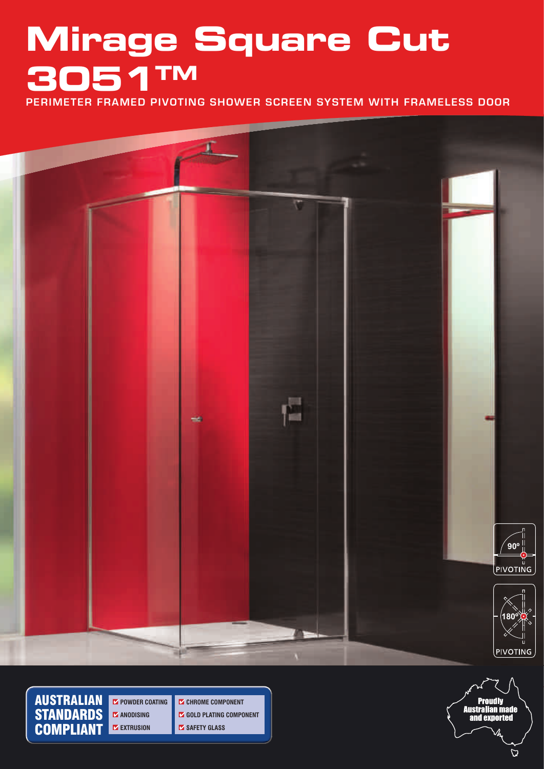# **Mirage Square Cut 3051TM**

**PERIMETER FRAMED PIVOTING SHOWER SCREEN SYSTEM WITH FRAMELESS DOOR**



AUSTRALIAN **STANDARDS** COMPLIANT

¢ **POWDER COATING** ¢ **ANODISING** ¢ **EXTRUSION**

¢ **CHROME COMPONENT** ¢ **GOLD PLATING COMPONENT** ¢ **SAFETY GLASS**